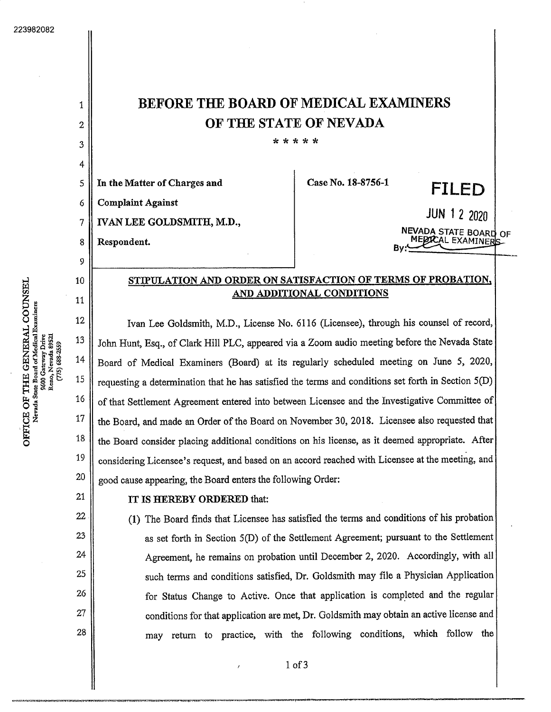1

2

3

4

5

6

7

8

9

10

11

12

13

14

16

15

17

18

19

20

21



John Hunt, Esq., of Clark Hill PLC, appeared via a Zoom audio meeting before the Nevada State Board of Medical Examiners (Board) at its regularly scheduled meeting on June 5, 2020, requesting a determination that he has satisfied the terms and conditions set forth in Section 5(D) of that Settlement Agreement entered into between Licensee and the Investigative Committee of the Board, and made an Order of the Board on November 30, 2018. Licensee also requested that the Board consider placing additional conditions on hislicense, asit deemed appropriate. After considering Licensee's request, and based on an accord reached with Licensee at the meeting, and good cause appearing, the Board enters the following Order:

## IT IS HEREBY ORDERED that:

(1) The Board finds that Licensee has satisfied the terms and conditions ofhis probation as set forth in Section 5(D) of the Settlement Agreement; pursuant to the Settlement Agreement, he remains on probation until December 2, 2020. Accordingly, with all such terms and conditions satisfied, Dr. Goldsmith may file a Physician Application for Status Change to Active. Once that application is completed and the regular conditions for that application are met, Dr. Goldsmith may obtain an active license and may return to practice, with the following conditions, which follow the

Iof3

্ A 9600 Gateway Drive<br>Reno, Nevada 89521 688-2559  $(775)$ THE<br>ar Boar **126**<br>960<br>Ren اء<br>ا "B

o

- 22 23 24
- 25

26

27

28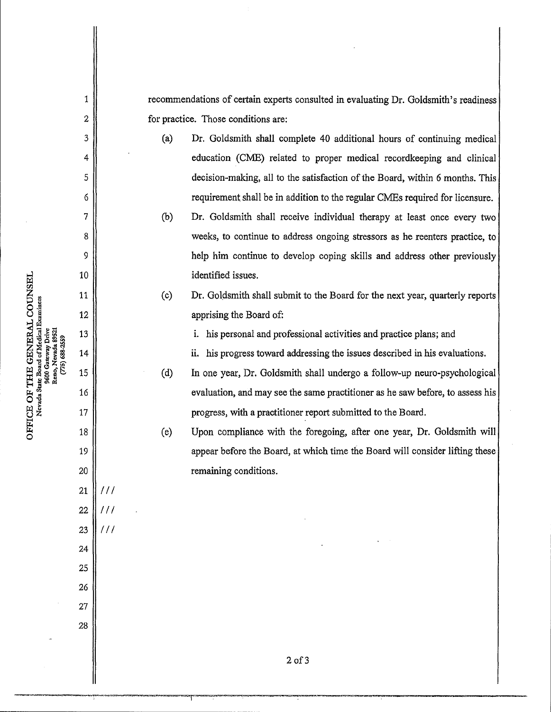recommendations of certain experts consulted in evaluating Dr. Goldsmith's readiness for practice. Those conditions are:

- (a)Dr. Goldsmith shall complete <sup>40</sup> additional hours of continuing medical education (CME) related to proper medical recordkeeping and clinical decision-making, all to the satisfaction of the Board, within 6 months. This
- requirement shall be in addition to the regular CMEs required for licensure.<br>(b) Dr. Goldsmith shall receive individual therapy at least once every two weeks, to continue to address ongoing stressors as he reenters practice, to help him continue to develop coping skills and address other previously identified issues.
- (c) Dr. Goldsmith shall submit to the Board for the next year, quarterly reports apprising the Board of:

i. his personal and professional activities and practice plans; and

ii. his progress toward addressing the issues described in his evaluations.

(d)In one year, Dr. Goldsmith shall undergo <sup>a</sup> follow-up neuro-psychological evaluation, and may see the same practitioner as he saw before, to assess his progress, with a practitioner report submitted to the Board.

(e)Upon compliance with the foregoing, after one year, Dr. Goldsmith will appear before the Board, at which time the Board will consider lifting these remaining conditions.

2 of3

f^ <sup>15</sup> E OF<br>cvada S u<br>ደ fedical Exa<br>r Drive<br>comme 9600 Gateway Drive o o

i

2

3

4

5

6

7

8

9

10

11

12

13

14

16

17

18

19

20

21

 $111$ 

///

 $111$ 

22

23

24

25

26

27

28